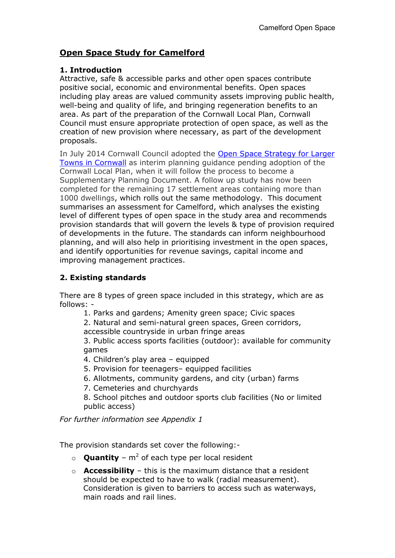# **Open Space Study for Camelford**

### **1. Introduction**

Attractive, safe & accessible parks and other open spaces contribute positive social, economic and environmental benefits. Open spaces including play areas are valued community assets improving public health, well-being and quality of life, and bringing regeneration benefits to an area. As part of the preparation of the Cornwall Local Plan, Cornwall Council must ensure appropriate protection of open space, as well as the creation of new provision where necessary, as part of the development proposals.

In July 2014 Cornwall Council adopted the [Open Space Strategy for Larger](http://www.cornwall.gov.uk/media/8104587/open-space-strategy-cornwall-towns-2014.pdf)  [Towns in Cornwall](http://www.cornwall.gov.uk/media/8104587/open-space-strategy-cornwall-towns-2014.pdf) as interim planning guidance pending adoption of the Cornwall Local Plan, when it will follow the process to become a Supplementary Planning Document. A follow up study has now been completed for the remaining 17 settlement areas containing more than 1000 dwellings, which rolls out the same methodology. This document summarises an assessment for Camelford, which analyses the existing level of different types of open space in the study area and recommends provision standards that will govern the levels & type of provision required of developments in the future. The standards can inform neighbourhood planning, and will also help in prioritising investment in the open spaces, and identify opportunities for revenue savings, capital income and improving management practices.

# **2. Existing standards**

There are 8 types of green space included in this strategy, which are as follows: -

1. Parks and gardens; Amenity green space; Civic spaces

2. Natural and semi-natural green spaces, Green corridors, accessible countryside in urban fringe areas

3. Public access sports facilities (outdoor): available for community games

- 4. Children's play area equipped
- 5. Provision for teenagers– equipped facilities
- 6. Allotments, community gardens, and city (urban) farms
- 7. Cemeteries and churchyards

8. School pitches and outdoor sports club facilities (No or limited public access)

*For further information see Appendix 1*

The provision standards set cover the following:-

- $\circ$  **Quantity**  $m^2$  of each type per local resident
- o **Accessibility** this is the maximum distance that a resident should be expected to have to walk (radial measurement). Consideration is given to barriers to access such as waterways, main roads and rail lines.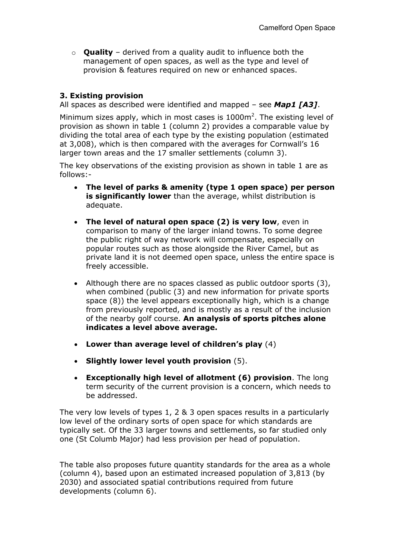o **Quality** – derived from a quality audit to influence both the management of open spaces, as well as the type and level of provision & features required on new or enhanced spaces.

### **3. Existing provision**

All spaces as described were identified and mapped – see *Map1 [A3]*.

Minimum sizes apply, which in most cases is  $1000m^2$ . The existing level of provision as shown in table 1 (column 2) provides a comparable value by dividing the total area of each type by the existing population (estimated at 3,008), which is then compared with the averages for Cornwall's 16 larger town areas and the 17 smaller settlements (column 3).

The key observations of the existing provision as shown in table 1 are as follows:-

- x **The level of parks & amenity (type 1 open space) per person is significantly lower** than the average, whilst distribution is adequate.
- **The level of natural open space (2) is very low**, even in comparison to many of the larger inland towns. To some degree the public right of way network will compensate, especially on popular routes such as those alongside the River Camel, but as private land it is not deemed open space, unless the entire space is freely accessible.
- $\bullet$  Although there are no spaces classed as public outdoor sports (3), when combined (public (3) and new information for private sports space (8)) the level appears exceptionally high, which is a change from previously reported, and is mostly as a result of the inclusion of the nearby golf course. **An analysis of sports pitches alone indicates a level above average.**
- x **Lower than average level of children's play** (4)
- x **Slightly lower level youth provision** (5).
- x **Exceptionally high level of allotment (6) provision**. The long term security of the current provision is a concern, which needs to be addressed.

The very low levels of types 1, 2 & 3 open spaces results in a particularly low level of the ordinary sorts of open space for which standards are typically set. Of the 33 larger towns and settlements, so far studied only one (St Columb Major) had less provision per head of population.

The table also proposes future quantity standards for the area as a whole (column 4), based upon an estimated increased population of 3,813 (by 2030) and associated spatial contributions required from future developments (column 6).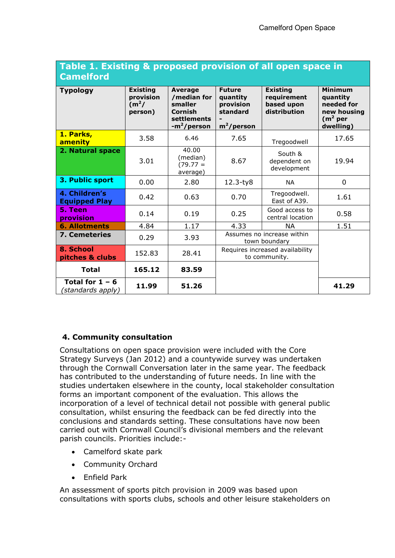| Table 1. Existing & proposed provision of all open space in |  |  |  |
|-------------------------------------------------------------|--|--|--|
| <b>Camelford</b>                                            |  |  |  |

| <b>Typology</b>                        | <b>Existing</b><br>provision<br>(m <sup>2</sup> /<br>person) | <b>Average</b><br>/median for<br>smaller<br>Cornish<br>settlements<br>-m <sup>2</sup> /person | <b>Future</b><br>quantity<br>provision<br>standard<br>$m^2$ /person | <b>Existing</b><br>requirement<br>based upon<br>distribution | <b>Minimum</b><br>quantity<br>needed for<br>new housing<br>(m <sup>2</sup> per<br>dwelling) |
|----------------------------------------|--------------------------------------------------------------|-----------------------------------------------------------------------------------------------|---------------------------------------------------------------------|--------------------------------------------------------------|---------------------------------------------------------------------------------------------|
| 1. Parks,<br>amenity                   | 3.58                                                         | 6.46                                                                                          | 7.65                                                                | Tregoodwell                                                  | 17.65                                                                                       |
| 2. Natural space                       | 3.01                                                         | 40.00<br>(median)<br>$(79.77 =$<br>average)                                                   | 8.67                                                                | South &<br>dependent on<br>development                       | 19.94                                                                                       |
| 3. Public sport                        | 0.00                                                         | 2.80                                                                                          | $12.3 - ty8$                                                        | <b>NA</b>                                                    | 0                                                                                           |
| 4. Children's<br><b>Equipped Play</b>  | 0.42                                                         | 0.63                                                                                          | 0.70                                                                | Tregoodwell.<br>East of A39.                                 | 1.61                                                                                        |
| 5. Teen<br>provision                   | 0.14                                                         | 0.19                                                                                          | 0.25                                                                | Good access to<br>central location                           | 0.58                                                                                        |
| <b>6. Allotments</b>                   | 4.84                                                         | 1.17                                                                                          | 4.33                                                                | <b>NA</b>                                                    | 1.51                                                                                        |
| <b>7. Cemeteries</b>                   | 0.29                                                         | 3.93                                                                                          | Assumes no increase within<br>town boundary                         |                                                              |                                                                                             |
| 8. School<br>pitches & clubs           | 152.83                                                       | 28.41                                                                                         | Requires increased availability<br>to community.                    |                                                              |                                                                                             |
| <b>Total</b>                           | 165.12                                                       | 83.59                                                                                         |                                                                     |                                                              |                                                                                             |
| Total for $1 - 6$<br>(standards apply) | 11.99                                                        | 51.26                                                                                         |                                                                     |                                                              | 41.29                                                                                       |

## **4. Community consultation**

Consultations on open space provision were included with the Core Strategy Surveys (Jan 2012) and a countywide survey was undertaken through the Cornwall Conversation later in the same year. The feedback has contributed to the understanding of future needs. In line with the studies undertaken elsewhere in the county, local stakeholder consultation forms an important component of the evaluation. This allows the incorporation of a level of technical detail not possible with general public consultation, whilst ensuring the feedback can be fed directly into the conclusions and standards setting. These consultations have now been carried out with Cornwall Council's divisional members and the relevant parish councils. Priorities include:-

- Camelford skate park
- Community Orchard
- Enfield Park

An assessment of sports pitch provision in 2009 was based upon consultations with sports clubs, schools and other leisure stakeholders on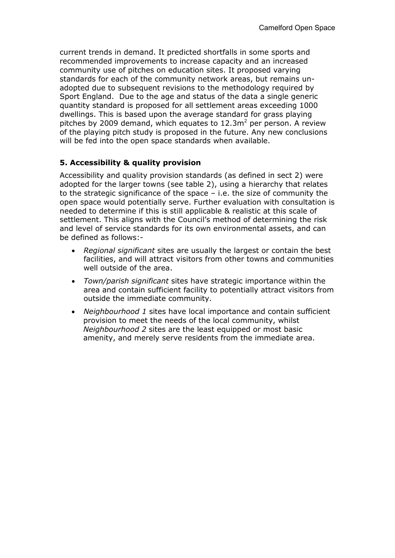current trends in demand. It predicted shortfalls in some sports and recommended improvements to increase capacity and an increased community use of pitches on education sites. It proposed varying standards for each of the community network areas, but remains unadopted due to subsequent revisions to the methodology required by Sport England. Due to the age and status of the data a single generic quantity standard is proposed for all settlement areas exceeding 1000 dwellings. This is based upon the average standard for grass playing pitches by 2009 demand, which equates to  $12.3m<sup>2</sup>$  per person. A review of the playing pitch study is proposed in the future. Any new conclusions will be fed into the open space standards when available.

## **5. Accessibility & quality provision**

Accessibility and quality provision standards (as defined in sect 2) were adopted for the larger towns (see table 2), using a hierarchy that relates to the strategic significance of the space – i.e. the size of community the open space would potentially serve. Further evaluation with consultation is needed to determine if this is still applicable & realistic at this scale of settlement. This aligns with the Council's method of determining the risk and level of service standards for its own environmental assets, and can be defined as follows:-

- x *Regional significant* sites are usually the largest or contain the best facilities, and will attract visitors from other towns and communities well outside of the area.
- x *Town/parish significant* sites have strategic importance within the area and contain sufficient facility to potentially attract visitors from outside the immediate community.
- x *Neighbourhood 1* sites have local importance and contain sufficient provision to meet the needs of the local community, whilst *Neighbourhood 2* sites are the least equipped or most basic amenity, and merely serve residents from the immediate area.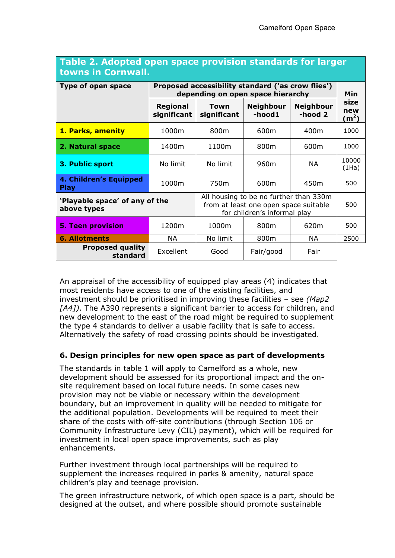| towns in Cornwall.                            |                                                                                               |                                                                                                                 |                            |                             |                                  |
|-----------------------------------------------|-----------------------------------------------------------------------------------------------|-----------------------------------------------------------------------------------------------------------------|----------------------------|-----------------------------|----------------------------------|
| <b>Type of open space</b>                     | Proposed accessibility standard ('as crow flies')<br>depending on open space hierarchy<br>Min |                                                                                                                 |                            |                             |                                  |
|                                               | <b>Regional</b><br>significant                                                                | <b>Town</b><br>significant                                                                                      | <b>Neighbour</b><br>-hood1 | <b>Neighbour</b><br>-hood 2 | size<br>new<br>(m <sup>2</sup> ) |
| 1. Parks, amenity                             | 1000m                                                                                         | 800 <sub>m</sub>                                                                                                | 600m                       | 400m                        | 1000                             |
| 2. Natural space                              | 1400m                                                                                         | 1100m                                                                                                           | 800m                       | 600m                        | 1000                             |
| 3. Public sport                               | No limit                                                                                      | No limit                                                                                                        | 960m                       | NА                          | 10000<br>(1Ha)                   |
| 4. Children's Equipped<br><b>Play</b>         | 1000m                                                                                         | 750m                                                                                                            | 600m                       | 450 <sub>m</sub>            | 500                              |
| 'Playable space' of any of the<br>above types |                                                                                               | All housing to be no further than 330m<br>from at least one open space suitable<br>for children's informal play |                            |                             | 500                              |
| <b>5. Teen provision</b>                      | 1200m                                                                                         | 1000m                                                                                                           | 800m                       | 620m                        | 500                              |
| <b>6. Allotments</b>                          | ΝA                                                                                            | No limit                                                                                                        | 800m                       | NА                          | 2500                             |
| <b>Proposed quality</b><br>standard           | Excellent                                                                                     | Good                                                                                                            | Fair/good                  | Fair                        |                                  |

## **Table 2. Adopted open space provision standards for larger towns in Cornwall.**

An appraisal of the accessibility of equipped play areas (4) indicates that most residents have access to one of the existing facilities, and investment should be prioritised in improving these facilities – see *(Map2 [A4])*. The A390 represents a significant barrier to access for children, and new development to the east of the road might be required to supplement the type 4 standards to deliver a usable facility that is safe to access. Alternatively the safety of road crossing points should be investigated.

#### **6. Design principles for new open space as part of developments**

The standards in table 1 will apply to Camelford as a whole, new development should be assessed for its proportional impact and the onsite requirement based on local future needs. In some cases new provision may not be viable or necessary within the development boundary, but an improvement in quality will be needed to mitigate for the additional population. Developments will be required to meet their share of the costs with off-site contributions (through Section 106 or Community Infrastructure Levy (CIL) payment), which will be required for investment in local open space improvements, such as play enhancements.

Further investment through local partnerships will be required to supplement the increases required in parks & amenity, natural space children's play and teenage provision.

The green infrastructure network, of which open space is a part, should be designed at the outset, and where possible should promote sustainable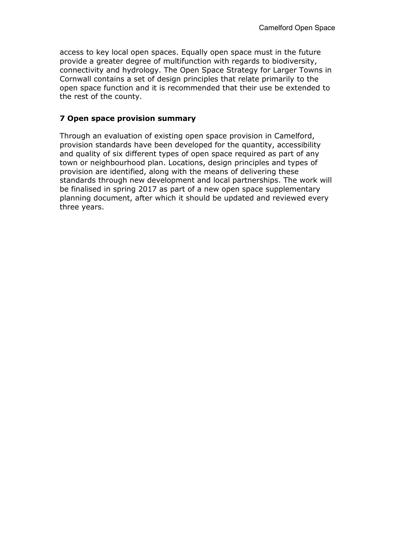access to key local open spaces. Equally open space must in the future provide a greater degree of multifunction with regards to biodiversity, connectivity and hydrology. The Open Space Strategy for Larger Towns in Cornwall contains a set of design principles that relate primarily to the open space function and it is recommended that their use be extended to the rest of the county.

#### **7 Open space provision summary**

Through an evaluation of existing open space provision in Camelford, provision standards have been developed for the quantity, accessibility and quality of six different types of open space required as part of any town or neighbourhood plan. Locations, design principles and types of provision are identified, along with the means of delivering these standards through new development and local partnerships. The work will be finalised in spring 2017 as part of a new open space supplementary planning document, after which it should be updated and reviewed every three years.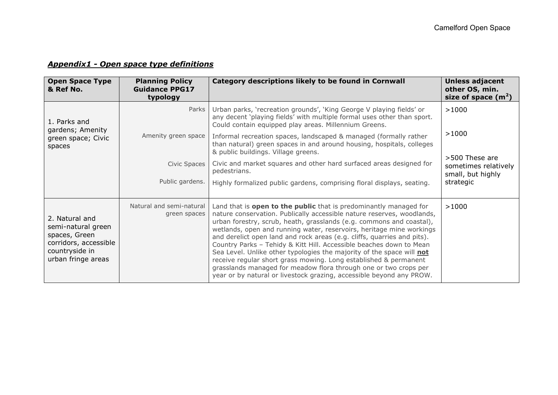## *Appendix1 - Open space type definitions*

| <b>Open Space Type</b><br>& Ref No.                                                                                                                                | <b>Planning Policy</b><br><b>Guidance PPG17</b><br>typology     | Category descriptions likely to be found in Cornwall                                                                                                                                                                                                                                                                                                                                                                                                                                                                                                                                                                                                                                                                                   | Unless adjacent<br>other OS, min.<br>size of space $(m2)$                                  |
|--------------------------------------------------------------------------------------------------------------------------------------------------------------------|-----------------------------------------------------------------|----------------------------------------------------------------------------------------------------------------------------------------------------------------------------------------------------------------------------------------------------------------------------------------------------------------------------------------------------------------------------------------------------------------------------------------------------------------------------------------------------------------------------------------------------------------------------------------------------------------------------------------------------------------------------------------------------------------------------------------|--------------------------------------------------------------------------------------------|
| 1. Parks and<br>gardens; Amenity<br>green space; Civic<br>spaces                                                                                                   | Parks<br>Amenity green space<br>Civic Spaces<br>Public gardens. | Urban parks, 'recreation grounds', 'King George V playing fields' or<br>any decent 'playing fields' with multiple formal uses other than sport.<br>Could contain equipped play areas. Millennium Greens.<br>Informal recreation spaces, landscaped & managed (formally rather<br>than natural) green spaces in and around housing, hospitals, colleges<br>& public buildings. Village greens.<br>Civic and market squares and other hard surfaced areas designed for<br>pedestrians.<br>Highly formalized public gardens, comprising floral displays, seating.                                                                                                                                                                         | >1000<br>>1000<br>>500 These are<br>sometimes relatively<br>small, but highly<br>strategic |
| Natural and semi-natural<br>green spaces<br>2. Natural and<br>semi-natural green<br>spaces, Green<br>corridors, accessible<br>countryside in<br>urban fringe areas |                                                                 | Land that is open to the public that is predominantly managed for<br>nature conservation. Publically accessible nature reserves, woodlands,<br>urban forestry, scrub, heath, grasslands (e.g. commons and coastal),<br>wetlands, open and running water, reservoirs, heritage mine workings<br>and derelict open land and rock areas (e.g. cliffs, quarries and pits).<br>Country Parks - Tehidy & Kitt Hill. Accessible beaches down to Mean<br>Sea Level. Unlike other typologies the majority of the space will not<br>receive regular short grass mowing. Long established & permanent<br>grasslands managed for meadow flora through one or two crops per<br>year or by natural or livestock grazing, accessible beyond any PROW. | >1000                                                                                      |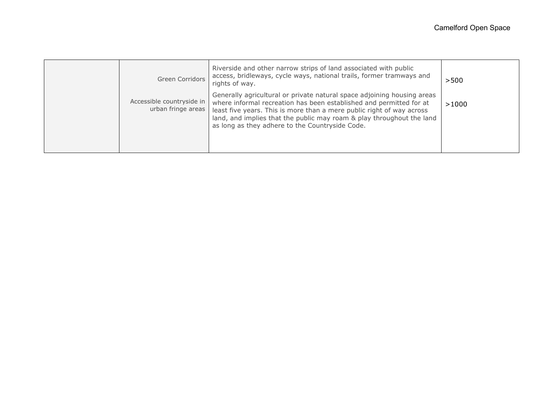| Green Corridors                                 | Riverside and other narrow strips of land associated with public<br>access, bridleways, cycle ways, national trails, former tramways and<br>rights of way.                                                                                                                                                                                          | >500  |
|-------------------------------------------------|-----------------------------------------------------------------------------------------------------------------------------------------------------------------------------------------------------------------------------------------------------------------------------------------------------------------------------------------------------|-------|
| Accessible countryside in<br>urban fringe areas | Generally agricultural or private natural space adjoining housing areas<br>where informal recreation has been established and permitted for at<br>least five years. This is more than a mere public right of way across<br>land, and implies that the public may roam & play throughout the land<br>as long as they adhere to the Countryside Code. | >1000 |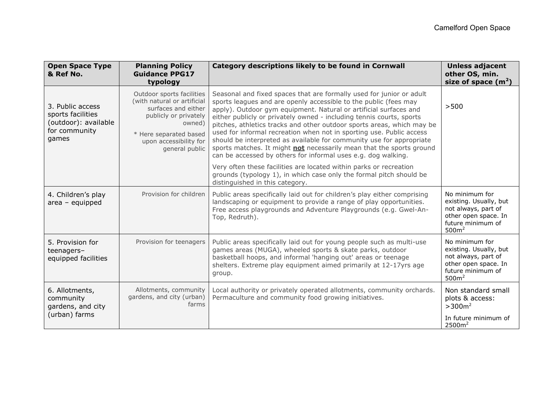| <b>Open Space Type</b><br>& Ref No.                                                     | <b>Planning Policy</b><br><b>Guidance PPG17</b><br>typology                                                                                                                              | Category descriptions likely to be found in Cornwall                                                                                                                                                                                                                                                                                                                                                                                                                                                                                                                                                                                                     | <b>Unless adjacent</b><br>other OS, min.<br>size of space $(m^2)$                                                                 |
|-----------------------------------------------------------------------------------------|------------------------------------------------------------------------------------------------------------------------------------------------------------------------------------------|----------------------------------------------------------------------------------------------------------------------------------------------------------------------------------------------------------------------------------------------------------------------------------------------------------------------------------------------------------------------------------------------------------------------------------------------------------------------------------------------------------------------------------------------------------------------------------------------------------------------------------------------------------|-----------------------------------------------------------------------------------------------------------------------------------|
| 3. Public access<br>sports facilities<br>(outdoor): available<br>for community<br>games | Outdoor sports facilities<br>(with natural or artificial<br>surfaces and either<br>publicly or privately<br>owned)<br>* Here separated based<br>upon accessibility for<br>general public | Seasonal and fixed spaces that are formally used for junior or adult<br>sports leagues and are openly accessible to the public (fees may<br>apply). Outdoor gym equipment. Natural or artificial surfaces and<br>either publicly or privately owned - including tennis courts, sports<br>pitches, athletics tracks and other outdoor sports areas, which may be<br>used for informal recreation when not in sporting use. Public access<br>should be interpreted as available for community use for appropriate<br>sports matches. It might not necessarily mean that the sports ground<br>can be accessed by others for informal uses e.g. dog walking. | >500                                                                                                                              |
|                                                                                         |                                                                                                                                                                                          | Very often these facilities are located within parks or recreation<br>grounds (typology 1), in which case only the formal pitch should be<br>distinguished in this category.                                                                                                                                                                                                                                                                                                                                                                                                                                                                             |                                                                                                                                   |
| 4. Children's play<br>$area - equipped$                                                 | Provision for children                                                                                                                                                                   | Public areas specifically laid out for children's play either comprising<br>landscaping or equipment to provide a range of play opportunities.<br>Free access playgrounds and Adventure Playgrounds (e.g. Gwel-An-<br>Top, Redruth).                                                                                                                                                                                                                                                                                                                                                                                                                     | No minimum for<br>existing. Usually, but<br>not always, part of<br>other open space. In<br>future minimum of<br>500m <sup>2</sup> |
| 5. Provision for<br>teenagers-<br>equipped facilities                                   | Provision for teenagers                                                                                                                                                                  | Public areas specifically laid out for young people such as multi-use<br>games areas (MUGA), wheeled sports & skate parks, outdoor<br>basketball hoops, and informal 'hanging out' areas or teenage<br>shelters. Extreme play equipment aimed primarily at 12-17yrs age<br>group.                                                                                                                                                                                                                                                                                                                                                                        | No minimum for<br>existing. Usually, but<br>not always, part of<br>other open space. In<br>future minimum of<br>500m <sup>2</sup> |
| 6. Allotments,<br>community<br>gardens, and city<br>(urban) farms                       | Allotments, community<br>gardens, and city (urban)<br>farms                                                                                                                              | Local authority or privately operated allotments, community orchards.<br>Permaculture and community food growing initiatives.                                                                                                                                                                                                                                                                                                                                                                                                                                                                                                                            | Non standard small<br>plots & access:<br>$>300m^2$<br>In future minimum of<br>2500m <sup>2</sup>                                  |